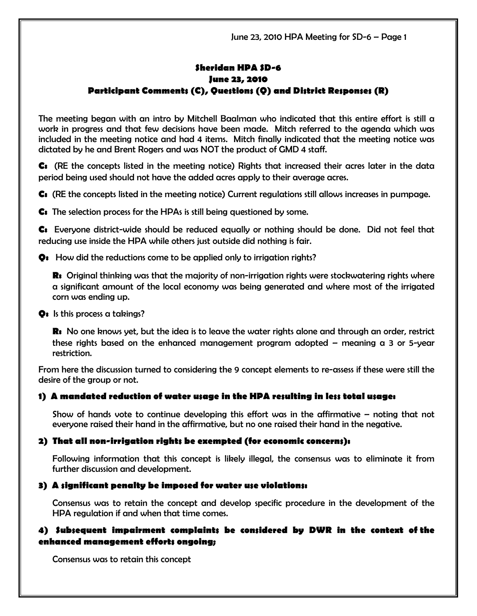# Sheridan HPA SD-6 June 23, 2010 Participant Comments (C), Questions (Q) and District Responses (R)

The meeting began with an intro by Mitchell Baalman who indicated that this entire effort is still a work in progress and that few decisions have been made. Mitch referred to the agenda which was included in the meeting notice and had 4 items. Mitch finally indicated that the meeting notice was dictated by he and Brent Rogers and was NOT the product of GMD 4 staff.

C: (RE the concepts listed in the meeting notice) Rights that increased their acres later in the data period being used should not have the added acres apply to their average acres.

C: (RE the concepts listed in the meeting notice) Current regulations still allows increases in pumpage.

C: The selection process for the HPAs is still being questioned by some.

C: Everyone district-wide should be reduced equally or nothing should be done. Did not feel that reducing use inside the HPA while others just outside did nothing is fair.

Q: How did the reductions come to be applied only to irrigation rights?

**R:** Original thinking was that the majority of non-irrigation rights were stockwatering rights where a significant amount of the local economy was being generated and where most of the irrigated corn was ending up.

#### Q: Is this process a takings?

**R:** No one knows yet, but the idea is to leave the water rights alone and through an order, restrict these rights based on the enhanced management program adopted – meaning a 3 or 5-year restriction.

From here the discussion turned to considering the 9 concept elements to re-assess if these were still the desire of the group or not.

### 1) A mandated reduction of water usage in the HPA resulting in less total usage:

Show of hands vote to continue developing this effort was in the affirmative – noting that not everyone raised their hand in the affirmative, but no one raised their hand in the negative.

### 2) That all non-irrigation rights be exempted (for economic concerns):

Following information that this concept is likely illegal, the consensus was to eliminate it from further discussion and development.

### 3) A significant penalty be imposed for water use violations:

Consensus was to retain the concept and develop specific procedure in the development of the HPA regulation if and when that time comes.

### 4) Subsequent impairment complaints be considered by DWR in the context of the enhanced management efforts ongoing;

Consensus was to retain this concept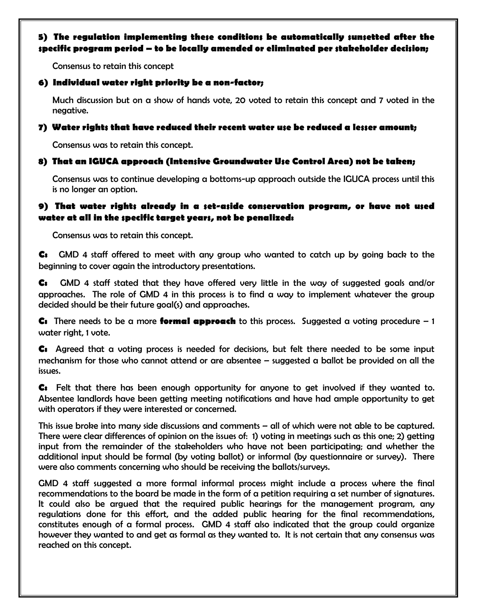### 5) The regulation implementing these conditions be automatically sunsetted after the specific program period – to be locally amended or eliminated per stakeholder decision;

Consensus to retain this concept

#### 6) Individual water right priority be a non-factor;

Much discussion but on a show of hands vote, 20 voted to retain this concept and 7 voted in the negative.

#### 7) Water rights that have reduced their recent water use be reduced a lesser amount;

Consensus was to retain this concept.

#### 8) That an IGUCA approach (Intensive Groundwater Use Control Area) not be taken;

Consensus was to continue developing a bottoms-up approach outside the IGUCA process until this is no longer an option.

#### 9) That water rights already in a set-aside conservation program, or have not used water at all in the specific target years, not be penalized:

Consensus was to retain this concept.

C: GMD 4 staff offered to meet with any group who wanted to catch up by going back to the beginning to cover again the introductory presentations.

C: GMD 4 staff stated that they have offered very little in the way of suggested goals and/or approaches. The role of GMD 4 in this process is to find a way to implement whatever the group decided should be their future goal(s) and approaches.

**C:** There needs to be a more **formal approach** to this process. Suggested a voting procedure  $-1$ water right, 1 vote.

C: Agreed that a voting process is needed for decisions, but felt there needed to be some input mechanism for those who cannot attend or are absentee – suggested a ballot be provided on all the issues.

C: Felt that there has been enough opportunity for anyone to get involved if they wanted to. Absentee landlords have been getting meeting notifications and have had ample opportunity to get with operators if they were interested or concerned.

This issue broke into many side discussions and comments – all of which were not able to be captured. There were clear differences of opinion on the issues of: 1) voting in meetings such as this one; 2) getting input from the remainder of the stakeholders who have not been participating; and whether the additional input should be formal (by voting ballot) or informal (by questionnaire or survey). There were also comments concerning who should be receiving the ballots/surveys.

GMD 4 staff suggested a more formal informal process might include a process where the final recommendations to the board be made in the form of a petition requiring a set number of signatures. It could also be argued that the required public hearings for the management program, any regulations done for this effort, and the added public hearing for the final recommendations, constitutes enough of a formal process. GMD 4 staff also indicated that the group could organize however they wanted to and get as formal as they wanted to. It is not certain that any consensus was reached on this concept.